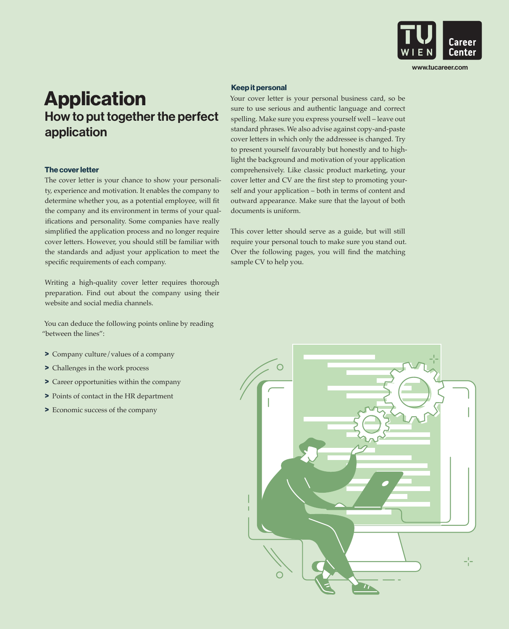

www.tucareer.com

# **Application** How to put together the perfect application

#### The cover letter

The cover letter is your chance to show your personality, experience and motivation. It enables the company to determine whether you, as a potential employee, will fit the company and its environment in terms of your qualifications and personality. Some companies have really simplified the application process and no longer require cover letters. However, you should still be familiar with the standards and adjust your application to meet the specific requirements of each company.

Writing a high-quality cover letter requires thorough preparation. Find out about the company using their website and social media channels.

You can deduce the following points online by reading "between the lines":

- > Company culture/values of a company
- > Challenges in the work process
- > Career opportunities within the company
- > Points of contact in the HR department
- > Economic success of the company

## Keep it personal

Your cover letter is your personal business card, so be sure to use serious and authentic language and correct spelling. Make sure you express yourself well – leave out standard phrases. We also advise against copy-and-paste cover letters in which only the addressee is changed. Try to present yourself favourably but honestly and to highlight the background and motivation of your application comprehensively. Like classic product marketing, your cover letter and CV are the first step to promoting yourself and your application – both in terms of content and outward appearance. Make sure that the layout of both documents is uniform.

This cover letter should serve as a guide, but will still require your personal touch to make sure you stand out. Over the following pages, you will find the matching sample CV to help you.

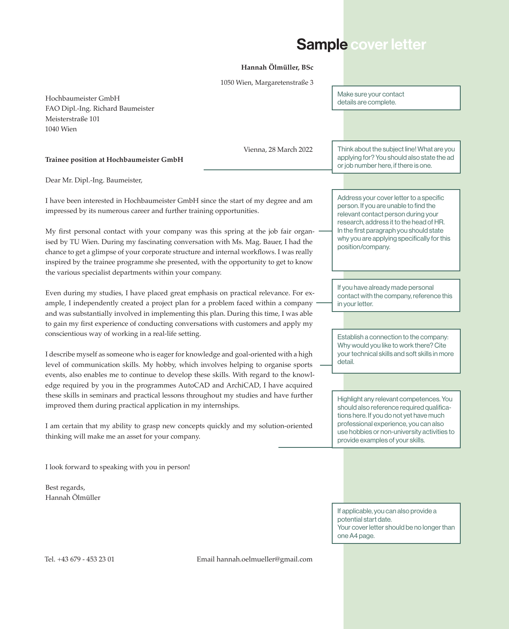# Sample cover letter

### **Hannah Ölmüller, BSc**

Hochbaumeister GmbH FAO Dipl.-Ing. Richard Baumeister Meisterstraße 101 1040 Wien Vienna, 28 March 2022 **Trainee position at Hochbaumeister GmbH** Dear Mr. Dipl.-Ing. Baumeister, I have been interested in Hochbaumeister GmbH since the start of my degree and am impressed by its numerous career and further training opportunities. My first personal contact with your company was this spring at the job fair organised by TU Wien. During my fascinating conversation with Ms. Mag. Bauer, I had the chance to get a glimpse of your corporate structure and internal workflows. I was really inspired by the trainee programme she presented, with the opportunity to get to know the various specialist departments within your company. Even during my studies, I have placed great emphasis on practical relevance. For example, I independently created a project plan for a problem faced within a company and was substantially involved in implementing this plan. During this time, I was able to gain my first experience of conducting conversations with customers and apply my conscientious way of working in a real-life setting. I describe myself as someone who is eager for knowledge and goal-oriented with a high level of communication skills. My hobby, which involves helping to organise sports events, also enables me to continue to develop these skills. With regard to the knowledge required by you in the programmes AutoCAD and ArchiCAD, I have acquired these skills in seminars and practical lessons throughout my studies and have further improved them during practical application in my internships. I am certain that my ability to grasp new concepts quickly and my solution-oriented thinking will make me an asset for your company. I look forward to speaking with you in person! Best regards, Hannah Ölmüller 1050 Wien, Margaretenstraße 3 Tel. +43 679 - 453 23 01 Email hannah.oelmueller@gmail.com Make sure your contact details are complete. If you have already made personal contact with the company, reference this in your letter. Think about the subject line! What are you applying for? You should also state the ad or job number here, if there is one. Address your cover letter to a specific person. If you are unable to find the relevant contact person during your research, address it to the head of HR. In the first paragraph you should state why you are applying specifically for this position/company. Establish a connection to the company: Why would you like to work there? Cite your technical skills and soft skills in more detail. Highlight any relevant competences. You should also reference required qualifications here. If you do not yet have much professional experience, you can also use hobbies or non-university activities to provide examples of your skills. If applicable, you can also provide a potential start date. Your cover letter should be no longer than one A4 page.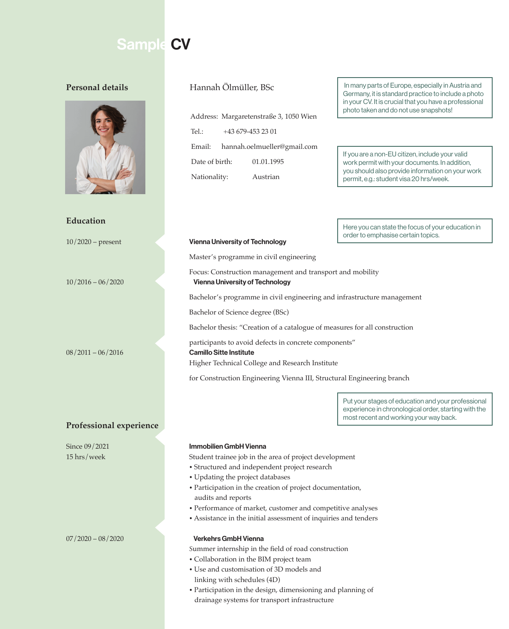# Sample CV

## **Personal details**



## **Education**

## **Professional experience**

Address: Margaretenstraße 3, 1050 Wien Tel.: +43 679-453 23 01 Email: hannah.oelmueller@gmail.com Date of birth: 01.01.1995 Nationality: Austrian

Hannah Ölmüller, BSc | In many parts of Europe, especially in Austria and Germany, it is standard practice to include a photo in your CV. It is crucial that you have a professional photo taken and do not use snapshots!

> If you are a non-EU citizen, include your valid work permit with your documents. In addition, you should also provide information on your work permit, e.g.: student visa 20 hrs/week.

> Here you can state the focus of your education in order to emphasise certain topics.

#### 10/2020 – present Vienna University of Technology

Master's programme in civil engineering

Focus: Construction management and transport and mobility 10/2016 – 06/2020 Vienna University of Technology

Bachelor's programme in civil engineering and infrastructure management

Bachelor of Science degree (BSc)

Bachelor thesis: "Creation of a catalogue of measures for all construction

 participants to avoid defects in concrete components" 08/2011 – 06/2016 Camillo Sitte Institute

Higher Technical College and Research Institute

for Construction Engineering Vienna III, Structural Engineering branch

Put your stages of education and your professional experience in chronological order, starting with the most recent and working your way back.

#### Since 09/2021 **Immobilien GmbH Vienna**

15 hrs/week Student trainee job in the area of project development

- Structured and independent project research
- Updating the project databases
- Participation in the creation of project documentation, audits and reports
- Performance of market, customer and competitive analyses
- Assistance in the initial assessment of inquiries and tenders

#### 07/2020 – 08/2020 Verkehrs GmbH Vienna

- Summer internship in the field of road construction
- Collaboration in the BIM project team
- Use and customisation of 3D models and linking with schedules (4D)
- Participation in the design, dimensioning and planning of drainage systems for transport infrastructure